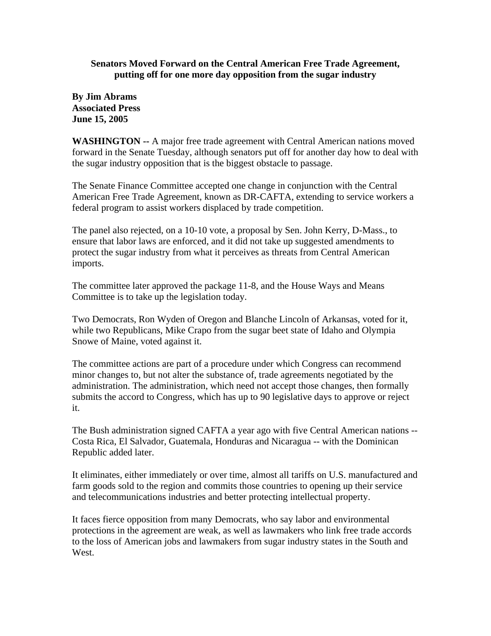## **Senators Moved Forward on the Central American Free Trade Agreement, putting off for one more day opposition from the sugar industry**

**By Jim Abrams Associated Press June 15, 2005**

**WASHINGTON --** A major free trade agreement with Central American nations moved forward in the Senate Tuesday, although senators put off for another day how to deal with the sugar industry opposition that is the biggest obstacle to passage.

The Senate Finance Committee accepted one change in conjunction with the Central American Free Trade Agreement, known as DR-CAFTA, extending to service workers a federal program to assist workers displaced by trade competition.

The panel also rejected, on a 10-10 vote, a proposal by Sen. John Kerry, D-Mass., to ensure that labor laws are enforced, and it did not take up suggested amendments to protect the sugar industry from what it perceives as threats from Central American imports.

The committee later approved the package 11-8, and the House Ways and Means Committee is to take up the legislation today.

Two Democrats, Ron Wyden of Oregon and Blanche Lincoln of Arkansas, voted for it, while two Republicans, Mike Crapo from the sugar beet state of Idaho and Olympia Snowe of Maine, voted against it.

The committee actions are part of a procedure under which Congress can recommend minor changes to, but not alter the substance of, trade agreements negotiated by the administration. The administration, which need not accept those changes, then formally submits the accord to Congress, which has up to 90 legislative days to approve or reject it.

The Bush administration signed CAFTA a year ago with five Central American nations -- Costa Rica, El Salvador, Guatemala, Honduras and Nicaragua -- with the Dominican Republic added later.

It eliminates, either immediately or over time, almost all tariffs on U.S. manufactured and farm goods sold to the region and commits those countries to opening up their service and telecommunications industries and better protecting intellectual property.

It faces fierce opposition from many Democrats, who say labor and environmental protections in the agreement are weak, as well as lawmakers who link free trade accords to the loss of American jobs and lawmakers from sugar industry states in the South and West.